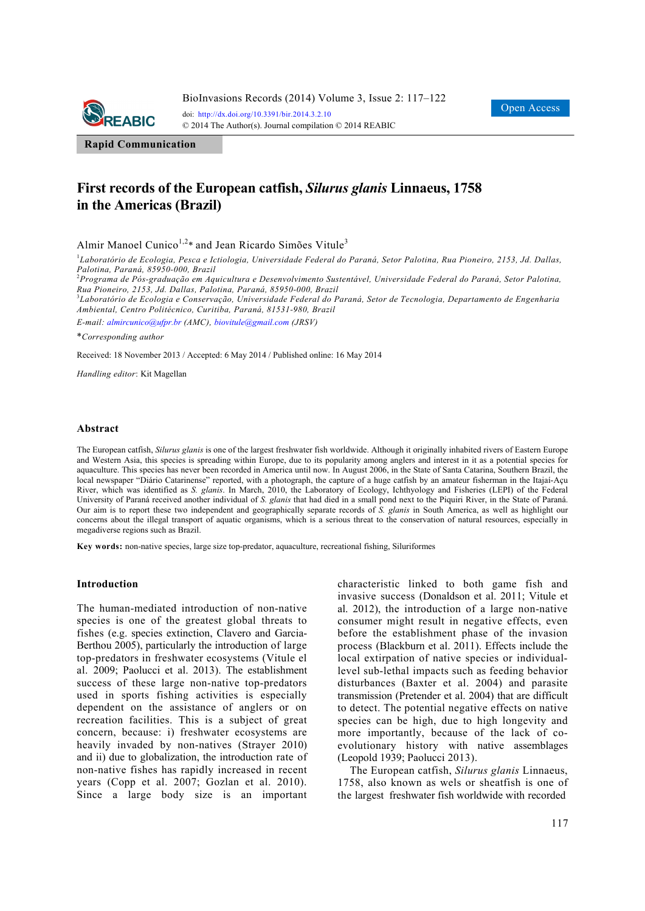

**Rapid Communication**

# **First records of the European catfish,** *Silurus glanis* **Linnaeus, 1758 in the Americas (Brazil)**

Almir Manoel Cunico<sup>1,2\*</sup> and Jean Ricardo Simões Vitule<sup>3</sup>

1 *Laboratório de Ecologia, Pesca e Ictiologia, Universidade Federal do Paraná, Setor Palotina, Rua Pioneiro, 2153, Jd. Dallas,* 

Palotina, Paraná, 85950-000, Brazil<br><sup>2</sup>Programa de Pós-graduação em Aquicultura e Desenvolvimento Sustentável, Universidade Federal do Paraná, Setor Palotina, *Rua Pioneiro, 2153, Jd. Dallas, Palotina, Paraná, 85950-000, Brazil* 

3 *Laboratório de Ecologia e Conservação, Universidade Federal do Paraná, Setor de Tecnologia, Departamento de Engenharia Ambiental, Centro Politécnico, Curitiba, Paraná, 81531-980, Brazil* 

*E-mail: almircunico@ufpr.br (AMC), biovitule@gmail.com (JRSV)*

\**Corresponding author* 

Received: 18 November 2013 / Accepted: 6 May 2014 / Published online: 16 May 2014

*Handling editor*: Kit Magellan

#### **Abstract**

The European catfish, *Silurus glanis* is one of the largest freshwater fish worldwide. Although it originally inhabited rivers of Eastern Europe and Western Asia, this species is spreading within Europe, due to its popularity among anglers and interest in it as a potential species for aquaculture. This species has never been recorded in America until now. In August 2006, in the State of Santa Catarina, Southern Brazil, the local newspaper "Diário Catarinense" reported, with a photograph, the capture of a huge catfish by an amateur fisherman in the Itajaí-Açu River, which was identified as *S. glanis*. In March, 2010, the Laboratory of Ecology, Ichthyology and Fisheries (LEPI) of the Federal University of Paraná received another individual of *S. glanis* that had died in a small pond next to the Piquiri River, in the State of Paraná. Our aim is to report these two independent and geographically separate records of *S. glanis* in South America, as well as highlight our concerns about the illegal transport of aquatic organisms, which is a serious threat to the conservation of natural resources, especially in megadiverse regions such as Brazil.

**Key words:** non-native species, large size top-predator, aquaculture, recreational fishing, Siluriformes

#### **Introduction**

The human-mediated introduction of non-native species is one of the greatest global threats to fishes (e.g. species extinction, Clavero and Garcia-Berthou 2005), particularly the introduction of large top-predators in freshwater ecosystems (Vitule el al. 2009; Paolucci et al. 2013). The establishment success of these large non-native top-predators used in sports fishing activities is especially dependent on the assistance of anglers or on recreation facilities. This is a subject of great concern, because: i) freshwater ecosystems are heavily invaded by non-natives (Strayer 2010) and ii) due to globalization, the introduction rate of non-native fishes has rapidly increased in recent years (Copp et al. 2007; Gozlan et al. 2010). Since a large body size is an important characteristic linked to both game fish and invasive success (Donaldson et al. 2011; Vitule et al. 2012), the introduction of a large non-native consumer might result in negative effects, even before the establishment phase of the invasion process (Blackburn et al. 2011). Effects include the local extirpation of native species or individuallevel sub-lethal impacts such as feeding behavior disturbances (Baxter et al. 2004) and parasite transmission (Pretender et al. 2004) that are difficult to detect. The potential negative effects on native species can be high, due to high longevity and more importantly, because of the lack of coevolutionary history with native assemblages (Leopold 1939; Paolucci 2013).

The European catfish, *Silurus glanis* Linnaeus, 1758, also known as wels or sheatfish is one of the largest freshwater fish worldwide with recorded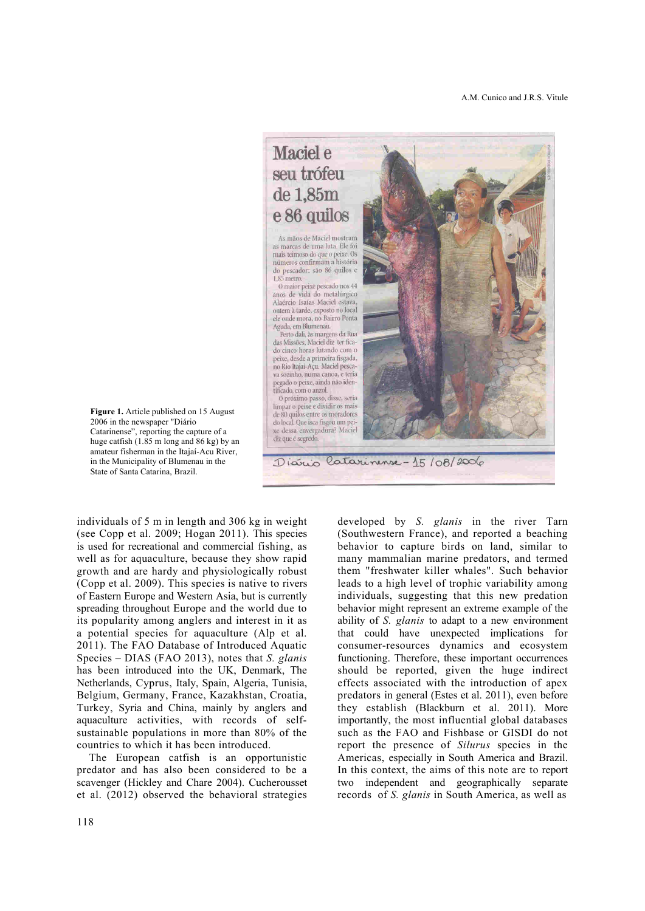Maciel e seu trófeu de 1.85m e 86 quilos

As mãos de Maciel mostram as marcas de uma luta. Ele foi mais teimoso do que o peixe. Os números confirmam a história do pescador: são 86 quilos e  $1,85$  metro.

O maior peixe pescado nos 44 anos de vida do metalúrgico Alaércio Isaías Maciel estava, ontem à tarde, exposto no local ele onde mora, no Bairro Ponta Aguda, em Blumenau.

Perto dali, às margens da Rua das Missões, Maciel diz ter ficado cinco horas lutando com o peixe, desde a primeira fisgada, no Rio Itajaí-Açu. Maciel pescava sozinho, numa canoa, e teria pegado o peixe, ainda não identificado, com o anzol.

O próximo passo, disse, seria limpar o peixe e dividir os mais de 80 quilos entre os moradores do local. Que isca fisgou um peixe dessa envergadura? Maciel diz que é segredo.

Diario Catarinense-15/08/2006

**Figure 1.** Article published on 15 August 2006 in the newspaper "Diário Catarinense", reporting the capture of a huge catfish (1.85 m long and 86 kg) by an amateur fisherman in the Itajaí-Acu River, in the Municipality of Blumenau in the State of Santa Catarina, Brazil.

individuals of 5 m in length and 306 kg in weight (see Copp et al. 2009; Hogan 2011). This species is used for recreational and commercial fishing, as well as for aquaculture, because they show rapid growth and are hardy and physiologically robust (Copp et al. 2009). This species is native to rivers of Eastern Europe and Western Asia, but is currently spreading throughout Europe and the world due to its popularity among anglers and interest in it as a potential species for aquaculture (Alp et al. 2011). The FAO Database of Introduced Aquatic Species – DIAS (FAO 2013), notes that *S. glanis* has been introduced into the UK, Denmark, The Netherlands, Cyprus, Italy, Spain, Algeria, Tunisia, Belgium, Germany, France, Kazakhstan, Croatia, Turkey, Syria and China, mainly by anglers and aquaculture activities, with records of selfsustainable populations in more than 80% of the countries to which it has been introduced.

The European catfish is an opportunistic predator and has also been considered to be a scavenger (Hickley and Chare 2004). Cucherousset et al. (2012) observed the behavioral strategies

118

developed by *S. glanis* in the river Tarn (Southwestern France), and reported a beaching behavior to capture birds on land, similar to many mammalian marine predators, and termed them "freshwater killer whales". Such behavior leads to a high level of trophic variability among individuals, suggesting that this new predation behavior might represent an extreme example of the ability of *S. glanis* to adapt to a new environment that could have unexpected implications for consumer-resources dynamics and ecosystem functioning. Therefore, these important occurrences should be reported, given the huge indirect effects associated with the introduction of apex predators in general (Estes et al. 2011), even before they establish (Blackburn et al. 2011). More importantly, the most influential global databases such as the FAO and Fishbase or GISDI do not report the presence of *Silurus* species in the Americas, especially in South America and Brazil. In this context, the aims of this note are to report two independent and geographically separate records of *S. glanis* in South America, as well as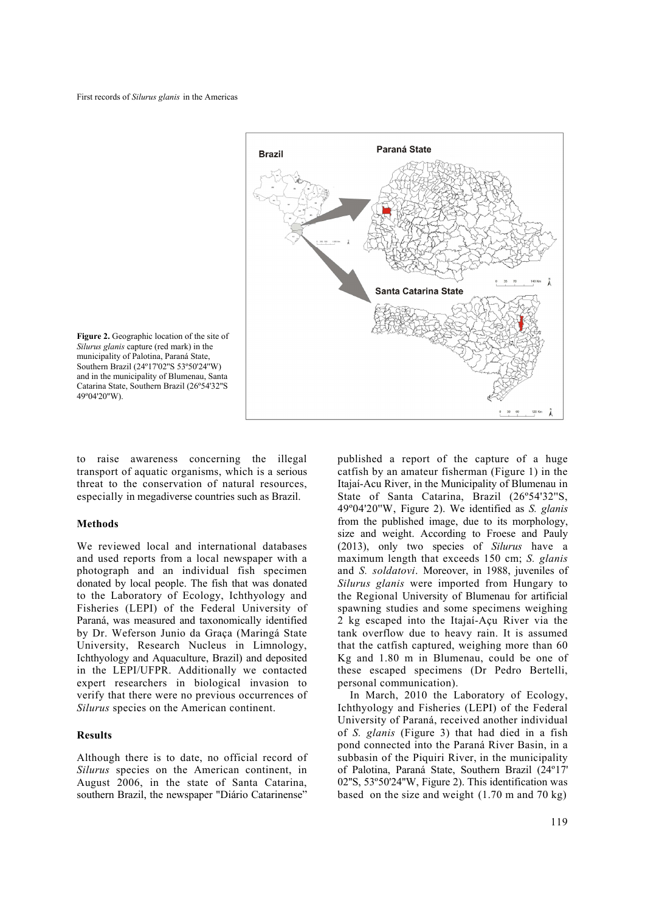



to raise awareness concerning the illegal transport of aquatic organisms, which is a serious threat to the conservation of natural resources, especially in megadiverse countries such as Brazil.

## **Methods**

We reviewed local and international databases and used reports from a local newspaper with a photograph and an individual fish specimen donated by local people. The fish that was donated to the Laboratory of Ecology, Ichthyology and Fisheries (LEPI) of the Federal University of Paraná, was measured and taxonomically identified by Dr. Weferson Junio da Graça (Maringá State University, Research Nucleus in Limnology, Ichthyology and Aquaculture, Brazil) and deposited in the LEPI/UFPR. Additionally we contacted expert researchers in biological invasion to verify that there were no previous occurrences of *Silurus* species on the American continent.

## **Results**

Although there is to date, no official record of *Silurus* species on the American continent, in August 2006, in the state of Santa Catarina, southern Brazil, the newspaper "Diário Catarinense" published a report of the capture of a huge catfish by an amateur fisherman (Figure 1) in the Itajaí-Acu River, in the Municipality of Blumenau in State of Santa Catarina, Brazil (26º54'32''S, 49º04'20''W, Figure 2). We identified as *S. glanis* from the published image, due to its morphology, size and weight. According to Froese and Pauly (2013), only two species of *Silurus* have a maximum length that exceeds 150 cm; *S. glanis* and *S. soldatovi*. Moreover, in 1988, juveniles of *Silurus glanis* were imported from Hungary to the Regional University of Blumenau for artificial spawning studies and some specimens weighing 2 kg escaped into the Itajaí-Açu River via the tank overflow due to heavy rain. It is assumed that the catfish captured, weighing more than 60 Kg and 1.80 m in Blumenau, could be one of these escaped specimens (Dr Pedro Bertelli, personal communication).

In March, 2010 the Laboratory of Ecology, Ichthyology and Fisheries (LEPI) of the Federal University of Paraná, received another individual of *S. glanis* (Figure 3) that had died in a fish pond connected into the Paraná River Basin, in a subbasin of the Piquiri River, in the municipality of Palotina, Paraná State, Southern Brazil (24º17' 02''S, 53º50'24''W, Figure 2). This identification was based on the size and weight  $(1.70 \text{ m and } 70 \text{ kg})$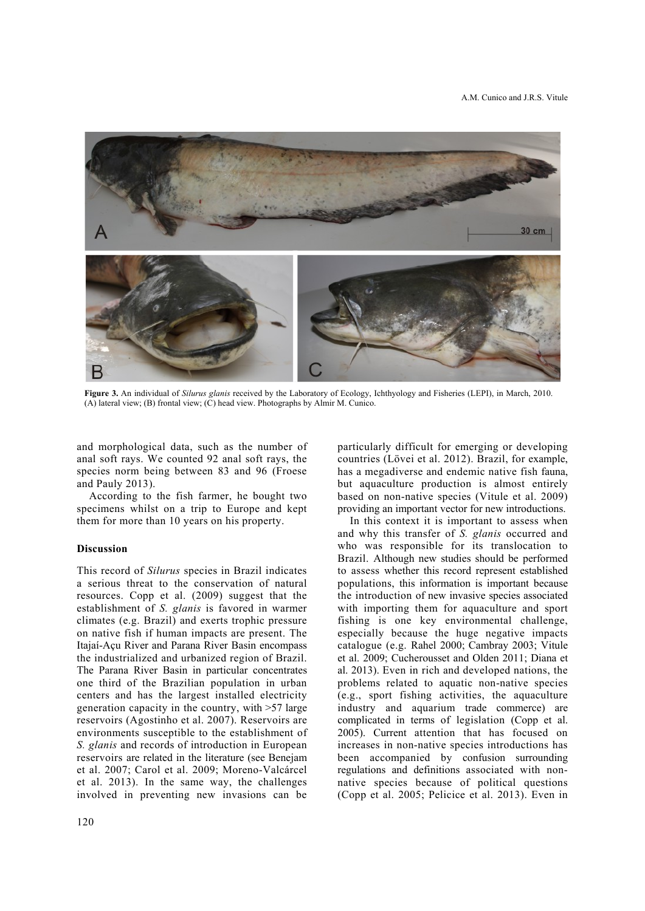

**Figure 3.** An individual of *Silurus glanis* received by the Laboratory of Ecology, Ichthyology and Fisheries (LEPI), in March, 2010. (A) lateral view; (B) frontal view; (C) head view. Photographs by Almir M. Cunico.

and morphological data, such as the number of anal soft rays. We counted 92 anal soft rays, the species norm being between 83 and 96 (Froese and Pauly 2013).

According to the fish farmer, he bought two specimens whilst on a trip to Europe and kept them for more than 10 years on his property.

## **Discussion**

This record of *Silurus* species in Brazil indicates a serious threat to the conservation of natural resources. Copp et al. (2009) suggest that the establishment of *S. glanis* is favored in warmer climates (e.g. Brazil) and exerts trophic pressure on native fish if human impacts are present. The Itajaí-Açu River and Parana River Basin encompass the industrialized and urbanized region of Brazil. The Parana River Basin in particular concentrates one third of the Brazilian population in urban centers and has the largest installed electricity generation capacity in the country, with >57 large reservoirs (Agostinho et al. 2007). Reservoirs are environments susceptible to the establishment of *S. glanis* and records of introduction in European reservoirs are related in the literature (see Benejam et al. 2007; Carol et al. 2009; Moreno-Valcárcel et al. 2013). In the same way, the challenges involved in preventing new invasions can be

particularly difficult for emerging or developing countries (Lövei et al. 2012). Brazil, for example, has a megadiverse and endemic native fish fauna, but aquaculture production is almost entirely based on non-native species (Vitule et al. 2009) providing an important vector for new introductions.

In this context it is important to assess when and why this transfer of *S. glanis* occurred and who was responsible for its translocation to Brazil. Although new studies should be performed to assess whether this record represent established populations, this information is important because the introduction of new invasive species associated with importing them for aquaculture and sport fishing is one key environmental challenge, especially because the huge negative impacts catalogue (e.g. Rahel 2000; Cambray 2003; Vitule et al. 2009; Cucherousset and Olden 2011; Diana et al. 2013). Even in rich and developed nations, the problems related to aquatic non-native species (e.g., sport fishing activities, the aquaculture industry and aquarium trade commerce) are complicated in terms of legislation (Copp et al. 2005). Current attention that has focused on increases in non-native species introductions has been accompanied by confusion surrounding regulations and definitions associated with nonnative species because of political questions (Copp et al. 2005; Pelicice et al. 2013). Even in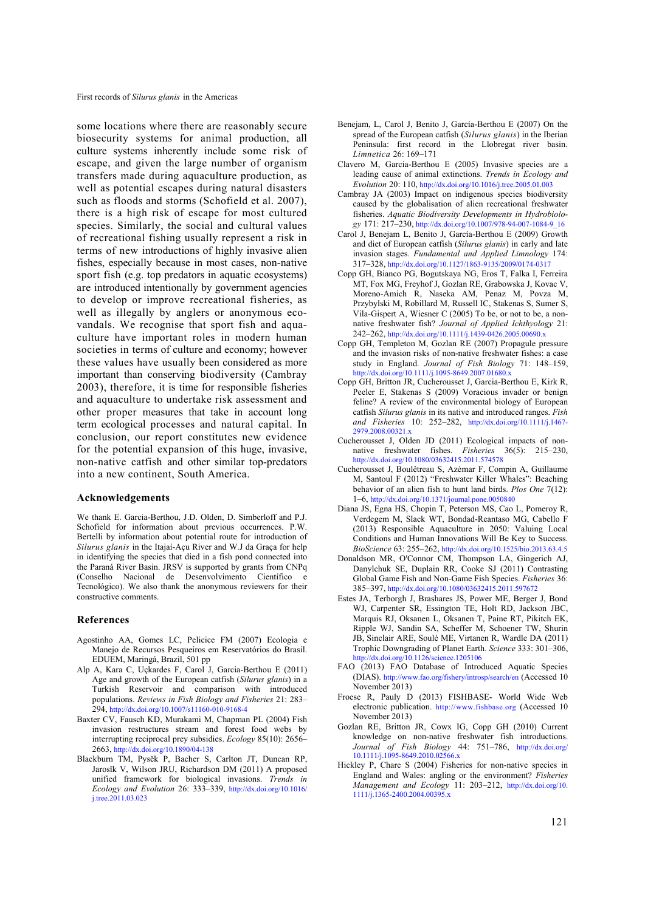some locations where there are reasonably secure biosecurity systems for animal production, all culture systems inherently include some risk of escape, and given the large number of organism transfers made during aquaculture production, as well as potential escapes during natural disasters such as floods and storms (Schofield et al. 2007), there is a high risk of escape for most cultured species. Similarly, the social and cultural values of recreational fishing usually represent a risk in terms of new introductions of highly invasive alien fishes, especially because in most cases, non-native sport fish (e.g. top predators in aquatic ecosystems) are introduced intentionally by government agencies to develop or improve recreational fisheries, as well as illegally by anglers or anonymous ecovandals. We recognise that sport fish and aquaculture have important roles in modern human societies in terms of culture and economy; however these values have usually been considered as more important than conserving biodiversity (Cambray 2003), therefore, it is time for responsible fisheries and aquaculture to undertake risk assessment and other proper measures that take in account long term ecological processes and natural capital. In conclusion, our report constitutes new evidence for the potential expansion of this huge, invasive, non-native catfish and other similar top-predators into a new continent, South America.

## **Acknowledgements**

We thank E. Garcia-Berthou, J.D. Olden, D. Simberloff and P.J. Schofield for information about previous occurrences. P.W. Bertelli by information about potential route for introduction of *Silurus glanis* in the Itajaí-Açu River and W.J da Graça for help in identifying the species that died in a fish pond connected into the Paraná River Basin. JRSV is supported by grants from CNPq (Conselho Nacional de Desenvolvimento Científico e Tecnológico). We also thank the anonymous reviewers for their constructive comments.

## **References**

- Agostinho AA, Gomes LC, Pelicice FM (2007) Ecologia e Manejo de Recursos Pesqueiros em Reservatórios do Brasil. EDUEM, Maringá, Brazil, 501 pp
- Alp A, Kara C, Uçkardes F, Carol J, Garcia-Berthou E (2011) Age and growth of the European catfish (*Silurus glanis*) in a Turkish Reservoir and comparison with introduced populations. *Reviews in Fish Biology and Fisheries* 21: 283– 294, http://dx.doi.org/10.1007/s11160-010-9168-4
- Baxter CV, Fausch KD, Murakami M, Chapman PL (2004) Fish invasion restructures stream and forest food webs by interrupting reciprocal prey subsidies. *Ecology* 85(10): 2656– 2663, http://dx.doi.org/10.1890/04-138
- Blackburn TM, Pysěk P, Bacher S, Carlton JT, Duncan RP, Jarosĭk V, Wilson JRU, Richardson DM (2011) A proposed unified framework for biological invasions. *Trends in Ecology and Evolution* 26: 333–339, http://dx.doi.org/10.1016/ j.tree.2011.03.023
- Benejam, L, Carol J, Benito J, García-Berthou E (2007) On the spread of the European catfish (*Silurus glanis*) in the Iberian Peninsula: first record in the Llobregat river basin. *Limnetica* 26: 169–171
- Clavero M, Garcia-Berthou E (2005) Invasive species are a leading cause of animal extinctions. *Trends in Ecology and Evolution* 20: 110, http://dx.doi.org/10.1016/j.tree.2005.01.003
- Cambray JA (2003) Impact on indigenous species biodiversity caused by the globalisation of alien recreational freshwater fisheries. *Aquatic Biodiversity Developments in Hydrobiology* 171: 217–230, http://dx.doi.org/10.1007/978-94-007-1084-9\_16
- Carol J, Benejam L, Benito J, García-Berthou E (2009) Growth and diet of European catfish (*Silurus glanis*) in early and late invasion stages. *Fundamental and Applied Limnology* 174: 317–328, http://dx.doi.org/10.1127/1863-9135/2009/0174-0317
- Copp GH, Bianco PG, Bogutskaya NG, Eros T, Falka I, Ferreira MT, Fox MG, Freyhof J, Gozlan RE, Grabowska J, Kovac V, Moreno-Amich R, Naseka AM, Penaz M, Povza M, Przybylski M, Robillard M, Russell IC, Stakenas S, Sumer S, Vila-Gispert A, Wiesner C (2005) To be, or not to be, a nonnative freshwater fish? *Journal of Applied Ichthyology* 21: 242–262, http://dx.doi.org/10.1111/j.1439-0426.2005.00690.x
- Copp GH, Templeton M, Gozlan RE (2007) Propagule pressure and the invasion risks of non-native freshwater fishes: a case study in England. *Journal of Fish Biology* 71: 148–159, http://dx.doi.org/10.1111/j.1095-8649.2007.01680.x
- Copp GH, Britton JR, Cucherousset J, Garcia-Berthou E, Kirk R, Peeler E, Stakenas S (2009) Voracious invader or benign feline? A review of the environmental biology of European catfish *Silurus glanis* in its native and introduced ranges. *Fish and Fisheries* 10: 252–282, http://dx.doi.org/10.1111/j.1467- 2979.2008.00321.x
- Cucherousset J, Olden JD (2011) Ecological impacts of nonnative freshwater fishes. *Fisheries* 36(5): 215–230, http://dx.doi.org/10.1080/03632415.2011.574578
- Cucherousset J, Boulêtreau S, Azémar F, Compin A, Guillaume M, Santoul F (2012) "Freshwater Killer Whales": Beaching behavior of an alien fish to hunt land birds. *Plos One* 7(12): 1–6, http://dx.doi.org/10.1371/journal.pone.0050840
- Diana JS, Egna HS, Chopin T, Peterson MS, Cao L, Pomeroy R, Verdegem M, Slack WT, Bondad-Reantaso MG, Cabello F (2013) Responsible Aquaculture in 2050: Valuing Local Conditions and Human Innovations Will Be Key to Success. *BioScience* 63: 255–262, http://dx.doi.org/10.1525/bio.2013.63.4.5
- Donaldson MR, O'Connor CM, Thompson LA, Gingerich AJ, Danylchuk SE, Duplain RR, Cooke SJ (2011) Contrasting Global Game Fish and Non-Game Fish Species. *Fisheries* 36: 385–397, http://dx.doi.org/10.1080/03632415.2011.597672
- Estes JA, Terborgh J, Brashares JS, Power ME, Berger J, Bond WJ, Carpenter SR, Essington TE, Holt RD, Jackson JBC, Marquis RJ, Oksanen L, Oksanen T, Paine RT, Pikitch EK, Ripple WJ, Sandin SA, Scheffer M, Schoener TW, Shurin JB, Sinclair ARE, Soulé ME, Virtanen R, Wardle DA (2011) Trophic Downgrading of Planet Earth. *Science* 333: 301–306, http://dx.doi.org/10.1126/science.1205106
- FAO (2013) FAO Database of Introduced Aquatic Species (DIAS). http://www.fao.org/fishery/introsp/search/en (Accessed 10 November 2013)
- Froese R, Pauly D (2013) FISHBASE- World Wide Web electronic publication. http://www.fishbase.org (Accessed 10 November 2013)
- Gozlan RE, Britton JR, Cowx IG, Copp GH (2010) Current knowledge on non-native freshwater fish introductions. *Journal of Fish Biology* 44: 751–786, http://dx.doi.org/ 10.1111/j.1095-8649.2010.02566.x
- Hickley P, Chare S (2004) Fisheries for non-native species in England and Wales: angling or the environment? *Fisheries Management and Ecology* 11: 203–212, http://dx.doi.org/10. 1111/j.1365-2400.2004.00395.x